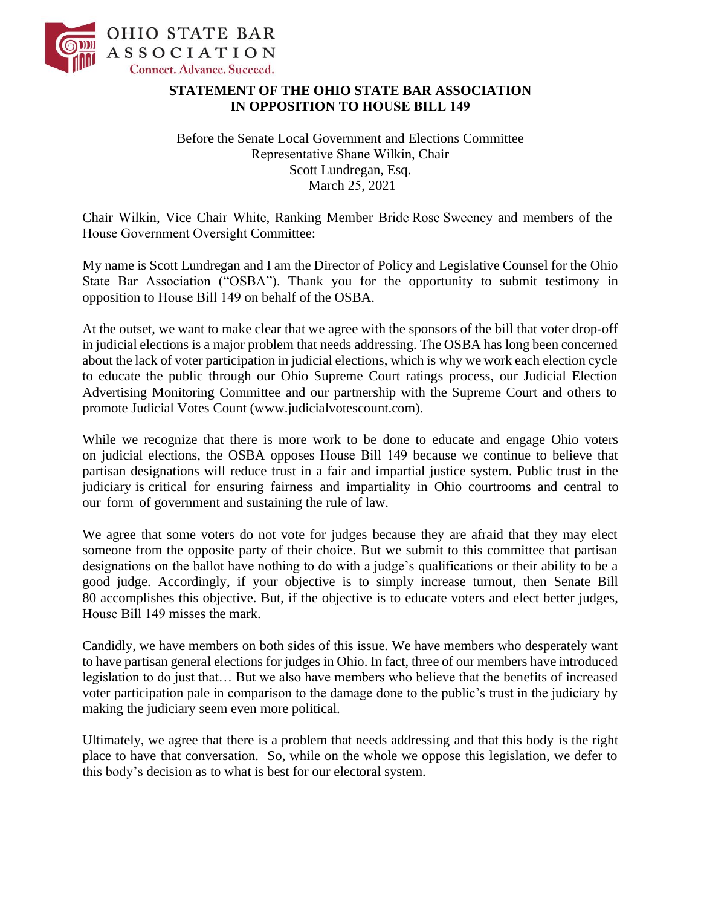

## **STATEMENT OF THE OHIO STATE BAR ASSOCIATION IN OPPOSITION TO HOUSE BILL 149**

Before the Senate Local Government and Elections Committee Representative Shane Wilkin, Chair Scott Lundregan, Esq. March 25, 2021

Chair Wilkin, Vice Chair White, Ranking Member Bride Rose Sweeney and members of the House Government Oversight Committee:

My name is Scott Lundregan and I am the Director of Policy and Legislative Counsel for the Ohio State Bar Association ("OSBA"). Thank you for the opportunity to submit testimony in opposition to House Bill 149 on behalf of the OSBA.

At the outset, we want to make clear that we agree with the sponsors of the bill that voter drop-off in judicial elections is a major problem that needs addressing. The OSBA has long been concerned about the lack of voter participation in judicial elections, which is why we work each election cycle to educate the public through our Ohio Supreme Court ratings process, our Judicial Election Advertising Monitoring Committee and our partnership with the Supreme Court and others to promote Judicial Votes Count (www.judicialvotescount.com).

While we recognize that there is more work to be done to educate and engage Ohio voters on judicial elections, the OSBA opposes House Bill 149 because we continue to believe that partisan designations will reduce trust in a fair and impartial justice system. Public trust in the judiciary is critical for ensuring fairness and impartiality in Ohio courtrooms and central to our form of government and sustaining the rule of law.

We agree that some voters do not vote for judges because they are afraid that they may elect someone from the opposite party of their choice. But we submit to this committee that partisan designations on the ballot have nothing to do with a judge's qualifications or their ability to be a good judge. Accordingly, if your objective is to simply increase turnout, then Senate Bill 80 accomplishes this objective. But, if the objective is to educate voters and elect better judges, House Bill 149 misses the mark.

Candidly, we have members on both sides of this issue. We have members who desperately want to have partisan general elections for judges in Ohio. In fact, three of our members have introduced legislation to do just that… But we also have members who believe that the benefits of increased voter participation pale in comparison to the damage done to the public's trust in the judiciary by making the judiciary seem even more political.

Ultimately, we agree that there is a problem that needs addressing and that this body is the right place to have that conversation. So, while on the whole we oppose this legislation, we defer to this body's decision as to what is best for our electoral system.